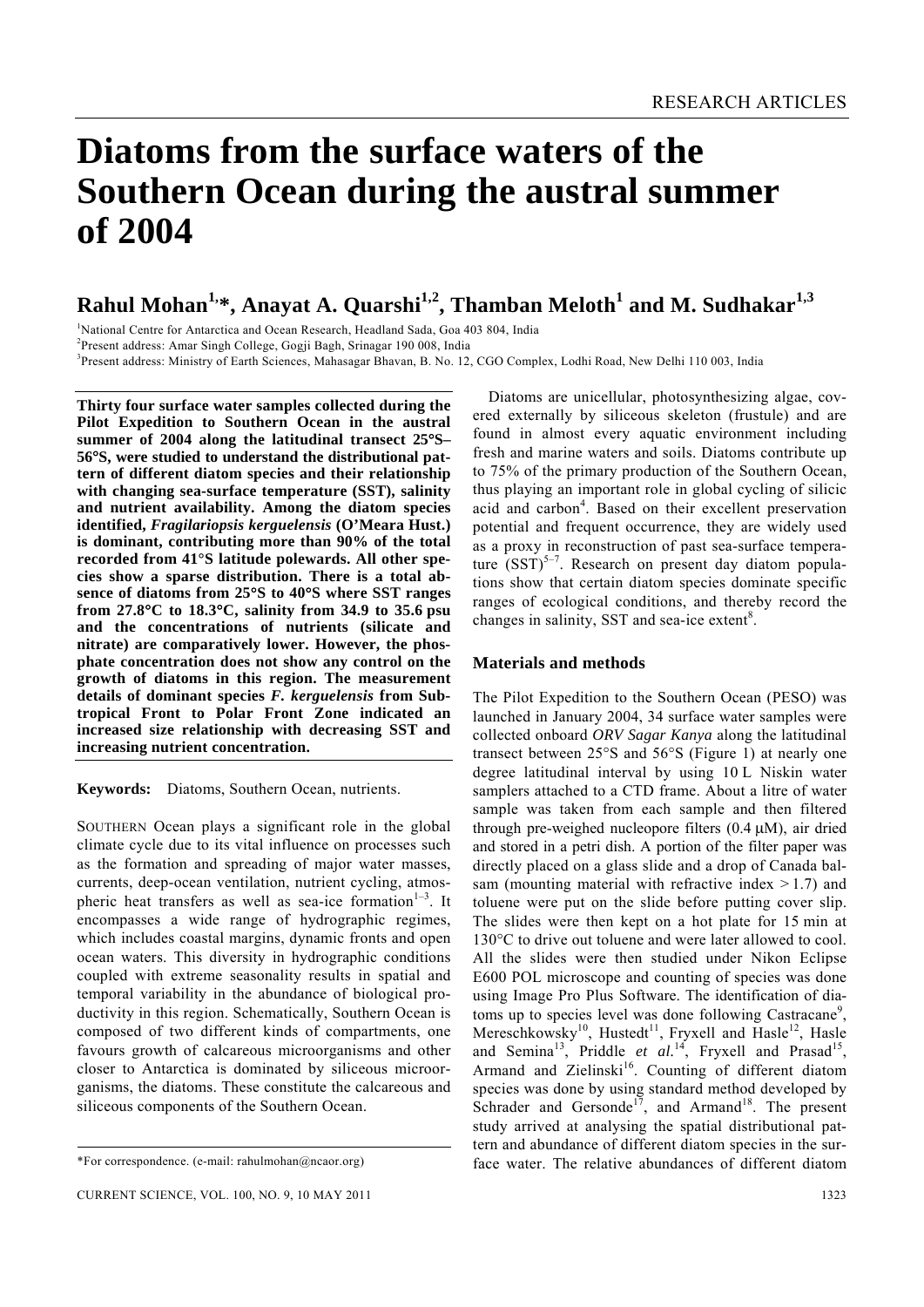# **Diatoms from the surface waters of the Southern Ocean during the austral summer of 2004**

# $\mathbf{R}$ ahul Mohan<sup>1,</sup>\*, Anayat A. Quarshi<sup>1,2</sup>, Thamban Meloth $^1$  and M. Sudhakar $^{1,3}$

<sup>1</sup>National Centre for Antarctica and Ocean Research, Headland Sada, Goa 403 804, India<br><sup>2</sup>Dresent oddress: Amer Singh Callage, Casii Bagh, Sringgar 100,008, India

<sup>2</sup> Present address: Amar Singh College, Gogji Bagh, Srinagar 190 008, India

3 Present address: Ministry of Earth Sciences, Mahasagar Bhavan, B. No. 12, CGO Complex, Lodhi Road, New Delhi 110 003, India

**Thirty four surface water samples collected during the Pilot Expedition to Southern Ocean in the austral summer of 2004 along the latitudinal transect 25**°**S– 56**°**S, were studied to understand the distributional pattern of different diatom species and their relationship with changing sea-surface temperature (SST), salinity and nutrient availability. Among the diatom species identified,** *Fragilariopsis kerguelensis* **(O'Meara Hust.) is dominant, contributing more than 90% of the total recorded from 41°S latitude polewards. All other species show a sparse distribution. There is a total absence of diatoms from 25**°**S to 40**°**S where SST ranges from 27.8**°**C to 18.3**°**C, salinity from 34.9 to 35.6 psu and the concentrations of nutrients (silicate and nitrate) are comparatively lower. However, the phosphate concentration does not show any control on the growth of diatoms in this region. The measurement details of dominant species** *F. kerguelensis* **from Subtropical Front to Polar Front Zone indicated an increased size relationship with decreasing SST and increasing nutrient concentration.** 

**Keywords:** Diatoms, Southern Ocean, nutrients.

SOUTHERN Ocean plays a significant role in the global climate cycle due to its vital influence on processes such as the formation and spreading of major water masses, currents, deep-ocean ventilation, nutrient cycling, atmospheric heat transfers as well as sea-ice formation $1-3$ . It encompasses a wide range of hydrographic regimes, which includes coastal margins, dynamic fronts and open ocean waters. This diversity in hydrographic conditions coupled with extreme seasonality results in spatial and temporal variability in the abundance of biological productivity in this region. Schematically, Southern Ocean is composed of two different kinds of compartments, one favours growth of calcareous microorganisms and other closer to Antarctica is dominated by siliceous microorganisms, the diatoms. These constitute the calcareous and siliceous components of the Southern Ocean.

 Diatoms are unicellular, photosynthesizing algae, covered externally by siliceous skeleton (frustule) and are found in almost every aquatic environment including fresh and marine waters and soils. Diatoms contribute up to 75% of the primary production of the Southern Ocean, thus playing an important role in global cycling of silicic acid and carbon<sup>4</sup>. Based on their excellent preservation potential and frequent occurrence, they are widely used as a proxy in reconstruction of past sea-surface temperature  $(SST)^{5-7}$ . Research on present day diatom populations show that certain diatom species dominate specific ranges of ecological conditions, and thereby record the changes in salinity, SST and sea-ice extent $8$ .

#### **Materials and methods**

The Pilot Expedition to the Southern Ocean (PESO) was launched in January 2004, 34 surface water samples were collected onboard *ORV Sagar Kanya* along the latitudinal transect between 25°S and 56°S (Figure 1) at nearly one degree latitudinal interval by using 10 L Niskin water samplers attached to a CTD frame. About a litre of water sample was taken from each sample and then filtered through pre-weighed nucleopore filters (0.4 μM), air dried and stored in a petri dish. A portion of the filter paper was directly placed on a glass slide and a drop of Canada balsam (mounting material with refractive index  $> 1.7$ ) and toluene were put on the slide before putting cover slip. The slides were then kept on a hot plate for 15 min at 130°C to drive out toluene and were later allowed to cool. All the slides were then studied under Nikon Eclipse E600 POL microscope and counting of species was done using Image Pro Plus Software. The identification of diatoms up to species level was done following Castracane<sup>9</sup>, Mereschkowsky<sup>10</sup>, Hustedt<sup>11</sup>, Fryxell and Hasle<sup>12</sup>, Hasle and Semina<sup>13</sup>, Priddle *et al.*<sup>14</sup>, Fryxell and Prasad<sup>15</sup>, Armand and Zielinski<sup>16</sup>. Counting of different diatom species was done by using standard method developed by Schrader and Gersonde<sup>17</sup>, and Armand<sup>18</sup>. The present study arrived at analysing the spatial distributional pattern and abundance of different diatom species in the surface water. The relative abundances of different diatom

<sup>\*</sup>For correspondence. (e-mail: rahulmohan@ncaor.org)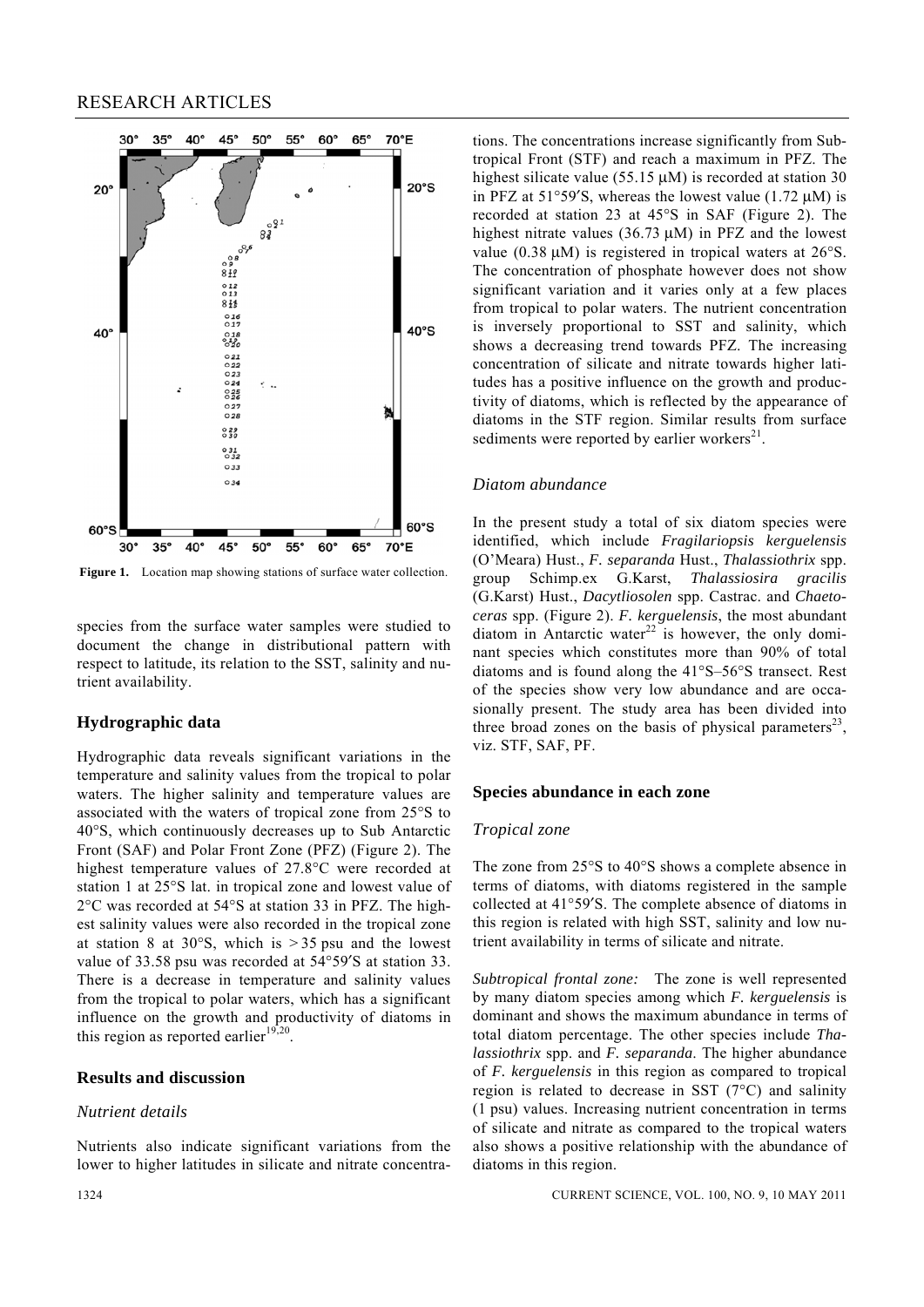

**Figure 1.** Location map showing stations of surface water collection.

species from the surface water samples were studied to document the change in distributional pattern with respect to latitude, its relation to the SST, salinity and nutrient availability.

#### **Hydrographic data**

Hydrographic data reveals significant variations in the temperature and salinity values from the tropical to polar waters. The higher salinity and temperature values are associated with the waters of tropical zone from 25°S to 40°S, which continuously decreases up to Sub Antarctic Front (SAF) and Polar Front Zone (PFZ) (Figure 2). The highest temperature values of 27.8°C were recorded at station 1 at 25°S lat. in tropical zone and lowest value of 2°C was recorded at 54°S at station 33 in PFZ. The highest salinity values were also recorded in the tropical zone at station 8 at  $30^{\circ}$ S, which is  $> 35$  psu and the lowest value of 33.58 psu was recorded at 54°59′S at station 33. There is a decrease in temperature and salinity values from the tropical to polar waters, which has a significant influence on the growth and productivity of diatoms in this region as reported earlier<sup>19,20</sup>.

## **Results and discussion**

#### *Nutrient details*

Nutrients also indicate significant variations from the lower to higher latitudes in silicate and nitrate concentrations. The concentrations increase significantly from Subtropical Front (STF) and reach a maximum in PFZ. The highest silicate value (55.15  $\mu$ M) is recorded at station 30 in PFZ at  $51^{\circ}59'$ S, whereas the lowest value (1.72  $\mu$ M) is recorded at station 23 at 45°S in SAF (Figure 2). The highest nitrate values (36.73 μM) in PFZ and the lowest value (0.38 μM) is registered in tropical waters at 26°S. The concentration of phosphate however does not show significant variation and it varies only at a few places from tropical to polar waters. The nutrient concentration is inversely proportional to SST and salinity, which shows a decreasing trend towards PFZ. The increasing concentration of silicate and nitrate towards higher latitudes has a positive influence on the growth and productivity of diatoms, which is reflected by the appearance of diatoms in the STF region. Similar results from surface sediments were reported by earlier workers $21$ .

#### *Diatom abundance*

In the present study a total of six diatom species were identified, which include *Fragilariopsis kerguelensis*  (O'Meara) Hust., *F. separanda* Hust., *Thalassiothrix* spp. group Schimp.ex G.Karst, *Thalassiosira gracilis* (G.Karst) Hust., *Dacytliosolen* spp. Castrac. and *Chaetoceras* spp. (Figure 2). *F. kerguelensis*, the most abundant diatom in Antarctic water $22$  is however, the only dominant species which constitutes more than 90% of total diatoms and is found along the 41°S–56°S transect. Rest of the species show very low abundance and are occasionally present. The study area has been divided into three broad zones on the basis of physical parameters<sup>23</sup>, viz. STF, SAF, PF.

#### **Species abundance in each zone**

#### *Tropical zone*

The zone from 25°S to 40°S shows a complete absence in terms of diatoms, with diatoms registered in the sample collected at 41°59′S. The complete absence of diatoms in this region is related with high SST, salinity and low nutrient availability in terms of silicate and nitrate.

*Subtropical frontal zone:* The zone is well represented by many diatom species among which *F. kerguelensis* is dominant and shows the maximum abundance in terms of total diatom percentage. The other species include *Thalassiothrix* spp. and *F. separanda*. The higher abundance of *F. kerguelensis* in this region as compared to tropical region is related to decrease in SST (7°C) and salinity (1 psu) values. Increasing nutrient concentration in terms of silicate and nitrate as compared to the tropical waters also shows a positive relationship with the abundance of diatoms in this region.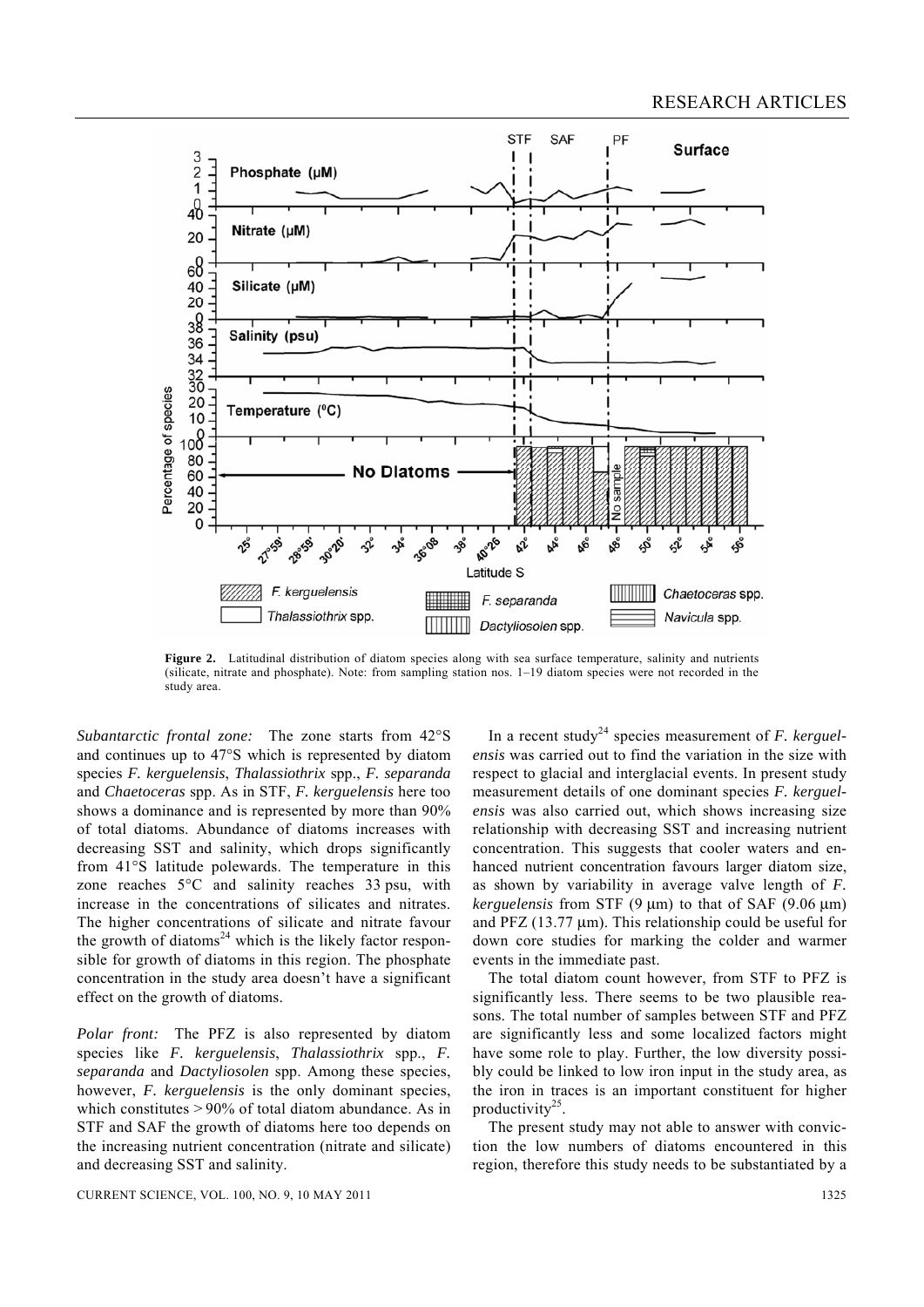

**Figure 2.** Latitudinal distribution of diatom species along with sea surface temperature, salinity and nutrients (silicate, nitrate and phosphate). Note: from sampling station nos. 1–19 diatom species were not recorded in the study area.

*Subantarctic frontal zone:* The zone starts from 42°S and continues up to 47°S which is represented by diatom species *F. kerguelensis*, *Thalassiothrix* spp., *F. separanda*  and *Chaetoceras* spp. As in STF, *F. kerguelensis* here too shows a dominance and is represented by more than 90% of total diatoms. Abundance of diatoms increases with decreasing SST and salinity, which drops significantly from 41°S latitude polewards. The temperature in this zone reaches 5°C and salinity reaches 33 psu, with increase in the concentrations of silicates and nitrates. The higher concentrations of silicate and nitrate favour the growth of diatoms<sup>24</sup> which is the likely factor responsible for growth of diatoms in this region. The phosphate concentration in the study area doesn't have a significant effect on the growth of diatoms.

*Polar front:* The PFZ is also represented by diatom species like *F. kerguelensis*, *Thalassiothrix* spp., *F. separanda* and *Dactyliosolen* spp. Among these species, however, *F. kerguelensis* is the only dominant species, which constitutes > 90% of total diatom abundance. As in STF and SAF the growth of diatoms here too depends on the increasing nutrient concentration (nitrate and silicate) and decreasing SST and salinity.

In a recent study<sup>24</sup> species measurement of *F. kerguelensis* was carried out to find the variation in the size with respect to glacial and interglacial events. In present study measurement details of one dominant species *F. kerguelensis* was also carried out, which shows increasing size relationship with decreasing SST and increasing nutrient concentration. This suggests that cooler waters and enhanced nutrient concentration favours larger diatom size, as shown by variability in average valve length of *F. kerguelensis* from STF (9 μm) to that of SAF (9.06 μm) and PFZ (13.77 μm). This relationship could be useful for down core studies for marking the colder and warmer events in the immediate past.

 The total diatom count however, from STF to PFZ is significantly less. There seems to be two plausible reasons. The total number of samples between STF and PFZ are significantly less and some localized factors might have some role to play. Further, the low diversity possibly could be linked to low iron input in the study area, as the iron in traces is an important constituent for higher productivity<sup>25</sup>.

 The present study may not able to answer with conviction the low numbers of diatoms encountered in this region, therefore this study needs to be substantiated by a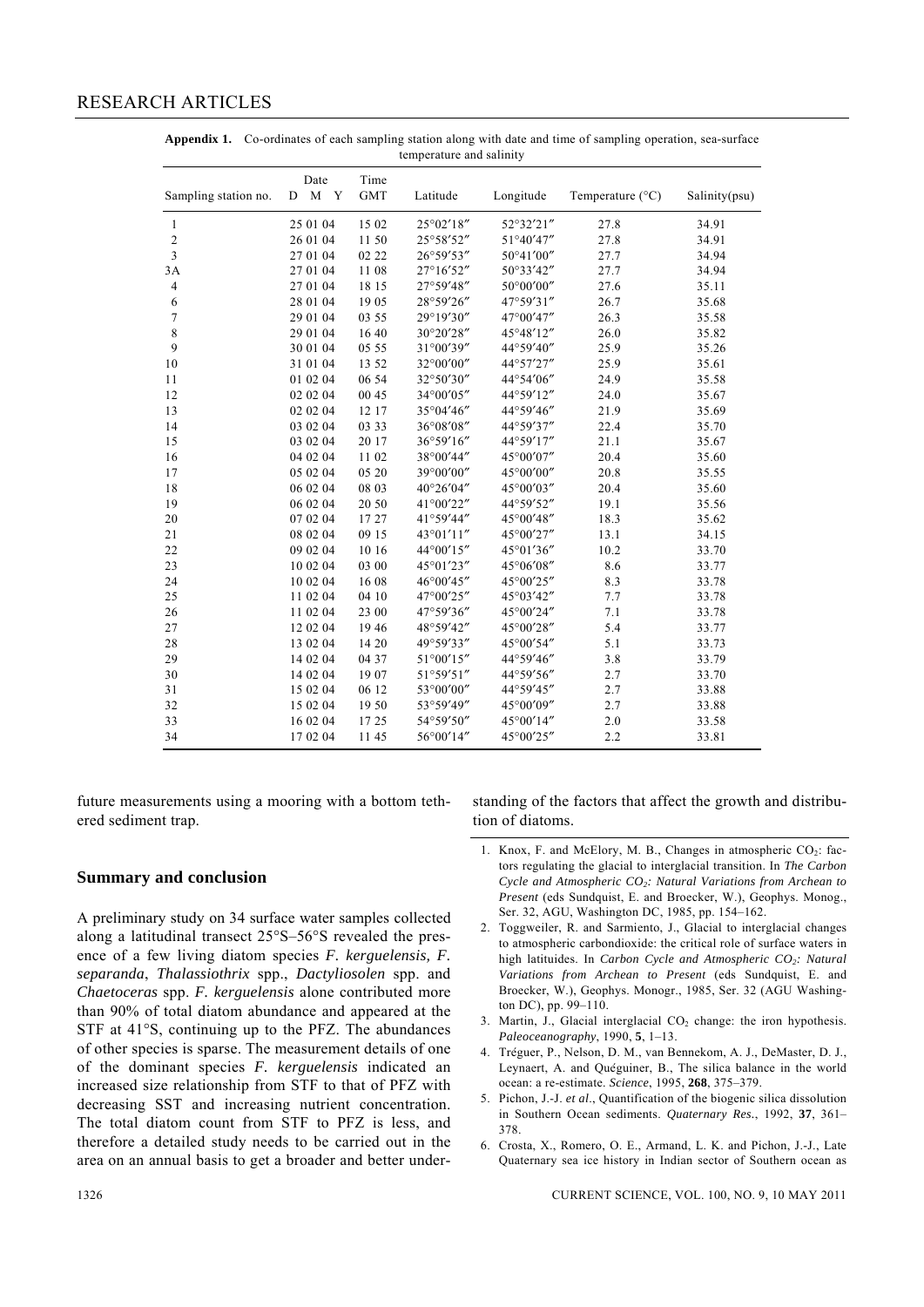# RESEARCH ARTICLES

| Sampling station no. | Date<br>M Y<br>D | Time<br><b>GMT</b> | Latitude  | Longitude | Temperature (°C) | Salinity(psu) |
|----------------------|------------------|--------------------|-----------|-----------|------------------|---------------|
| 1                    | 25 01 04         | 15 02              | 25°02'18" | 52°32'21" | 27.8             | 34.91         |
| $\sqrt{2}$           | 26 01 04         | 1150               | 25°58'52" | 51°40'47" | 27.8             | 34.91         |
| $\mathfrak{Z}$       | 27 01 04         | 02 22              | 26°59'53" | 50°41'00" | 27.7             | 34.94         |
| 3A                   | 27 01 04         | 1108               | 27°16'52" | 50°33'42" | 27.7             | 34.94         |
| $\overline{4}$       | 27 01 04         | 18 15              | 27°59'48" | 50°00'00" | 27.6             | 35.11         |
| 6                    | 28 01 04         | 1905               | 28°59'26" | 47°59'31" | 26.7             | 35.68         |
| $\overline{7}$       | 29 01 04         | 03 55              | 29°19'30" | 47°00'47" | 26.3             | 35.58         |
| $\,$ 8 $\,$          | 29 01 04         | 1640               | 30°20'28" | 45°48'12" | 26.0             | 35.82         |
| 9                    | 30 01 04         | 05 55              | 31°00'39" | 44°59'40" | 25.9             | 35.26         |
| 10                   | 31 01 04         | 13 52              | 32°00'00" | 44°57'27" | 25.9             | 35.61         |
| 11                   | 01 02 04         | 06 54              | 32°50'30" | 44°54'06" | 24.9             | 35.58         |
| 12                   | 02 02 04         | 00 45              | 34°00'05" | 44°59'12" | 24.0             | 35.67         |
| 13                   | 02 02 04         | 12 17              | 35°04'46" | 44°59'46" | 21.9             | 35.69         |
| 14                   | 03 02 04         | 03 33              | 36°08'08" | 44°59'37" | 22.4             | 35.70         |
| 15                   | 03 02 04         | 20 17              | 36°59'16" | 44°59'17" | 21.1             | 35.67         |
| 16                   | 04 02 04         | 1102               | 38°00'44" | 45°00'07" | 20.4             | 35.60         |
| 17                   | 05 02 04         | 05 20              | 39°00'00" | 45°00'00" | 20.8             | 35.55         |
| 18                   | 06 02 04         | 08 03              | 40°26'04" | 45°00'03" | 20.4             | 35.60         |
| 19                   | 06 02 04         | 20 50              | 41°00'22" | 44°59'52" | 19.1             | 35.56         |
| 20                   | 07 02 04         | 1727               | 41°59'44" | 45°00'48" | 18.3             | 35.62         |
| 21                   | 08 02 04         | 09 15              | 43°01'11" | 45°00'27" | 13.1             | 34.15         |
| 22                   | 09 02 04         | 10 16              | 44°00'15" | 45°01'36" | 10.2             | 33.70         |
| 23                   | 10 02 04         | 03 00              | 45°01'23" | 45°06'08" | 8.6              | 33.77         |
| 24                   | 10 02 04         | 1608               | 46°00'45" | 45°00'25" | 8.3              | 33.78         |
| 25                   | 11 02 04         | 04 10              | 47°00'25" | 45°03'42" | 7.7              | 33.78         |
| 26                   | 11 02 04         | 23 00              | 47°59'36" | 45°00'24" | 7.1              | 33.78         |
| 27                   | 12 02 04         | 1946               | 48°59'42" | 45°00'28" | 5.4              | 33.77         |
| 28                   | 13 02 04         | 14 20              | 49°59'33" | 45°00'54" | 5.1              | 33.73         |
| 29                   | 14 02 04         | 04 37              | 51°00'15" | 44°59'46" | 3.8              | 33.79         |
| 30                   | 14 02 04         | 1907               | 51°59'51" | 44°59'56" | 2.7              | 33.70         |
| 31                   | 15 02 04         | 06 12              | 53°00'00" | 44°59'45" | 2.7              | 33.88         |
| 32                   | 15 02 04         | 1950               | 53°59'49" | 45°00'09" | 2.7              | 33.88         |
| 33                   | 16 02 04         | 1725               | 54°59'50" | 45°00'14" | $2.0\,$          | 33.58         |
| 34                   | 17 02 04         | 1145               | 56°00'14" | 45°00'25" | 2.2              | 33.81         |

**Appendix 1.** Co-ordinates of each sampling station along with date and time of sampling operation, sea-surface temperature and salinity

future measurements using a mooring with a bottom tethered sediment trap.

standing of the factors that affect the growth and distribution of diatoms.

## **Summary and conclusion**

A preliminary study on 34 surface water samples collected along a latitudinal transect 25°S–56°S revealed the presence of a few living diatom species *F. kerguelensis, F. separanda*, *Thalassiothrix* spp., *Dactyliosolen* spp. and *Chaetoceras* spp. *F. kerguelensis* alone contributed more than 90% of total diatom abundance and appeared at the STF at 41°S, continuing up to the PFZ. The abundances of other species is sparse. The measurement details of one of the dominant species *F. kerguelensis* indicated an increased size relationship from STF to that of PFZ with decreasing SST and increasing nutrient concentration. The total diatom count from STF to PFZ is less, and therefore a detailed study needs to be carried out in the area on an annual basis to get a broader and better under-

- 1. Knox, F. and McElory, M. B., Changes in atmospheric  $CO<sub>2</sub>$ : factors regulating the glacial to interglacial transition. In *The Carbon Cycle and Atmospheric CO2: Natural Variations from Archean to Present* (eds Sundquist, E. and Broecker, W.), Geophys. Monog., Ser. 32, AGU, Washington DC, 1985, pp. 154–162.
- 2. Toggweiler, R. and Sarmiento, J., Glacial to interglacial changes to atmospheric carbondioxide: the critical role of surface waters in high latituides. In *Carbon Cycle and Atmospheric CO<sub>2</sub>: Natural Variations from Archean to Present* (eds Sundquist, E. and Broecker, W.), Geophys. Monogr., 1985, Ser. 32 (AGU Washington DC), pp. 99–110.
- 3. Martin, J., Glacial interglacial  $CO<sub>2</sub>$  change: the iron hypothesis. *Paleoceanography*, 1990, **5**, 1–13.
- 4. Treguer, P., Nelson, D. M., van Bennekom, A. J., DeMaster, D. J., Leynaert, A. and Quéguiner, B., The silica balance in the world ocean: a re-estimate. *Science*, 1995, **268**, 375–379.
- 5. Pichon, J.-J. *et al*., Quantification of the biogenic silica dissolution in Southern Ocean sediments. *Quaternary Res.*, 1992, **37**, 361– 378.
- 6. Crosta, X., Romero, O. E., Armand, L. K. and Pichon, J.-J., Late Quaternary sea ice history in Indian sector of Southern ocean as